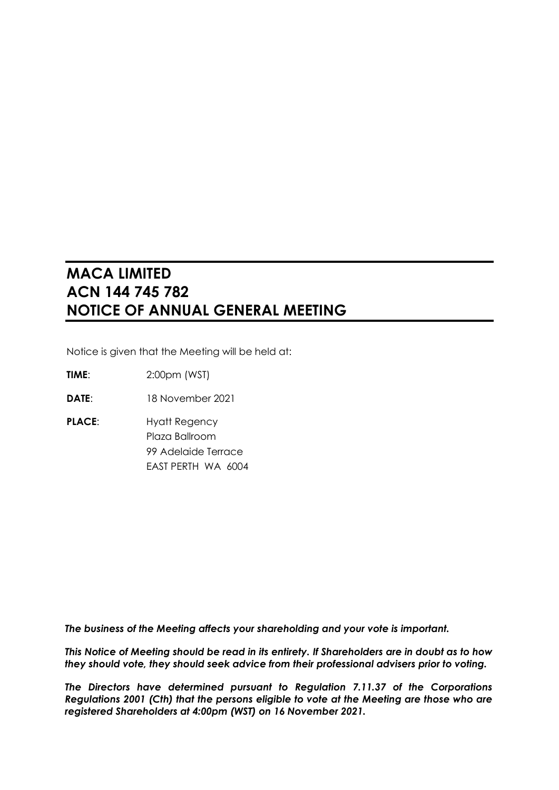# **MACA LIMITED ACN 144 745 782 NOTICE OF ANNUAL GENERAL MEETING**

Notice is given that the Meeting will be held at:

**TIME**: 2:00pm (WST)

**DATE**: 18 November 2021

**PLACE:** Hyatt Regency Plaza Ballroom 99 Adelaide Terrace EAST PERTH WA 6004

*The business of the Meeting affects your shareholding and your vote is important.*

*This Notice of Meeting should be read in its entirety. If Shareholders are in doubt as to how they should vote, they should seek advice from their professional advisers prior to voting.*

*The Directors have determined pursuant to Regulation 7.11.37 of the Corporations Regulations 2001 (Cth) that the persons eligible to vote at the Meeting are those who are registered Shareholders at 4:00pm (WST) on 16 November 2021.*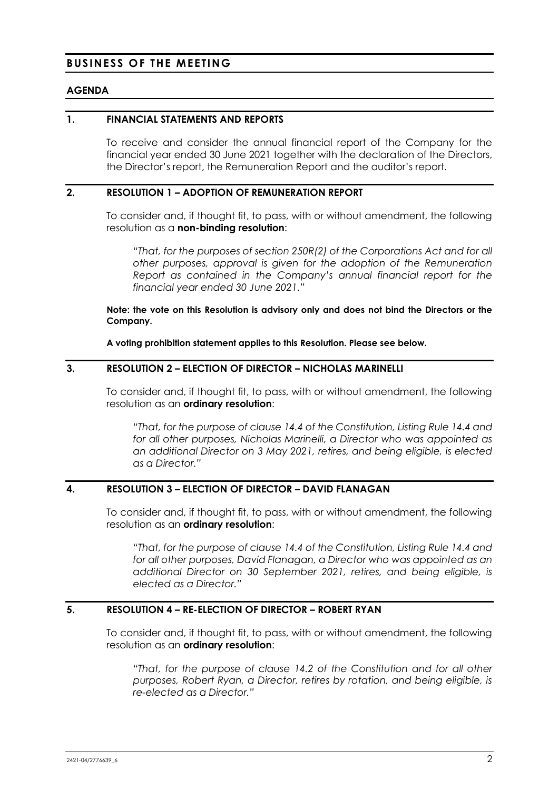# **BUSINESS OF THE MEETING**

#### **AGENDA**

#### **1. FINANCIAL STATEMENTS AND REPORTS**

To receive and consider the annual financial report of the Company for the financial year ended 30 June 2021 together with the declaration of the Directors, the Director's report, the Remuneration Report and the auditor's report.

#### **2. RESOLUTION 1 – ADOPTION OF REMUNERATION REPORT**

To consider and, if thought fit, to pass, with or without amendment, the following resolution as a **non-binding resolution**:

*"That, for the purposes of section 250R(2) of the Corporations Act and for all other purposes, approval is given for the adoption of the Remuneration Report as contained in the Company's annual financial report for the financial year ended 30 June 2021."*

**Note: the vote on this Resolution is advisory only and does not bind the Directors or the Company.**

**A voting prohibition statement applies to this Resolution. Please see below.**

# **3. RESOLUTION 2 – ELECTION OF DIRECTOR – NICHOLAS MARINELLI**

To consider and, if thought fit, to pass, with or without amendment, the following resolution as an **ordinary resolution**:

*"That, for the purpose of clause 14.4 of the Constitution, Listing Rule 14.4 and for all other purposes, Nicholas Marinelli, a Director who was appointed as an additional Director on 3 May 2021, retires, and being eligible, is elected as a Director."*

# **4. RESOLUTION 3 – ELECTION OF DIRECTOR – DAVID FLANAGAN**

To consider and, if thought fit, to pass, with or without amendment, the following resolution as an **ordinary resolution**:

*"That, for the purpose of clause 14.4 of the Constitution, Listing Rule 14.4 and for all other purposes, David Flanagan, a Director who was appointed as an additional Director on 30 September 2021, retires, and being eligible, is elected as a Director."*

#### **5. RESOLUTION 4 – RE-ELECTION OF DIRECTOR – ROBERT RYAN**

To consider and, if thought fit, to pass, with or without amendment, the following resolution as an **ordinary resolution**:

*"That, for the purpose of clause 14.2 of the Constitution and for all other purposes, Robert Ryan, a Director, retires by rotation, and being eligible, is re-elected as a Director."*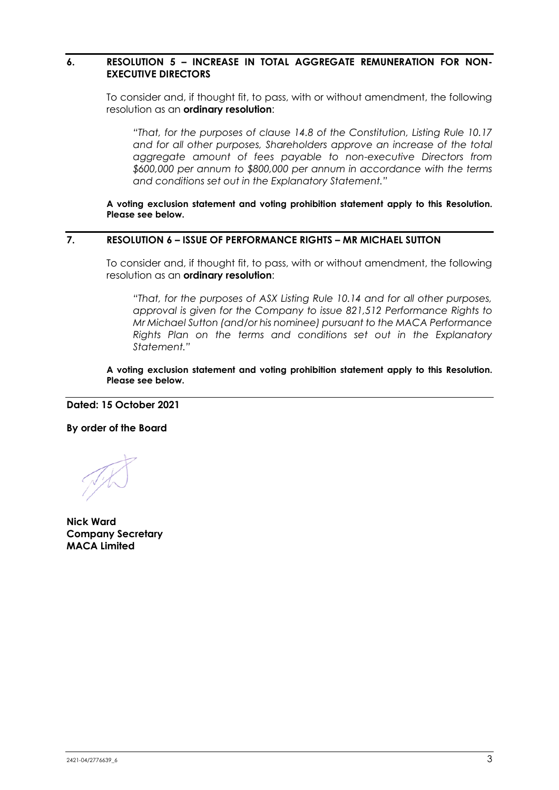#### **6. RESOLUTION 5 – INCREASE IN TOTAL AGGREGATE REMUNERATION FOR NON-EXECUTIVE DIRECTORS**

To consider and, if thought fit, to pass, with or without amendment, the following resolution as an **ordinary resolution**:

*"That, for the purposes of clause 14.8 of the Constitution, Listing Rule 10.17 and for all other purposes, Shareholders approve an increase of the total aggregate amount of fees payable to non-executive Directors from \$600,000 per annum to \$800,000 per annum in accordance with the terms and conditions set out in the Explanatory Statement."*

**A voting exclusion statement and voting prohibition statement apply to this Resolution. Please see below.**

#### **7. RESOLUTION 6 – ISSUE OF PERFORMANCE RIGHTS – MR MICHAEL SUTTON**

To consider and, if thought fit, to pass, with or without amendment, the following resolution as an **ordinary resolution**:

*"That, for the purposes of ASX Listing Rule 10.14 and for all other purposes, approval is given for the Company to issue 821,512 Performance Rights to Mr Michael Sutton (and/or his nominee) pursuant to the MACA Performance Rights Plan on the terms and conditions set out in the Explanatory Statement."*

**A voting exclusion statement and voting prohibition statement apply to this Resolution. Please see below.**

**Dated: 15 October 2021**

**By order of the Board**

**Nick Ward Company Secretary MACA Limited**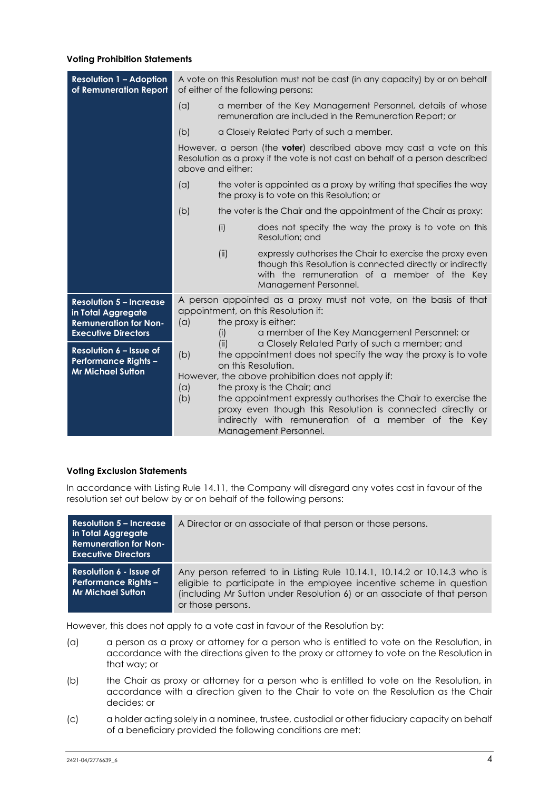#### **Voting Prohibition Statements**

| <b>Resolution 1 - Adoption</b><br>of Remuneration Report                                                           |                                                                                                                                                                                                                                                                                                                                                                                                                                                                        |                                                                                                                                                                                         | A vote on this Resolution must not be cast (in any capacity) by or on behalf<br>of either of the following persons:                                                                              |  |  |
|--------------------------------------------------------------------------------------------------------------------|------------------------------------------------------------------------------------------------------------------------------------------------------------------------------------------------------------------------------------------------------------------------------------------------------------------------------------------------------------------------------------------------------------------------------------------------------------------------|-----------------------------------------------------------------------------------------------------------------------------------------------------------------------------------------|--------------------------------------------------------------------------------------------------------------------------------------------------------------------------------------------------|--|--|
|                                                                                                                    | (a)                                                                                                                                                                                                                                                                                                                                                                                                                                                                    |                                                                                                                                                                                         | a member of the Key Management Personnel, details of whose<br>remuneration are included in the Remuneration Report; or                                                                           |  |  |
|                                                                                                                    | (b)                                                                                                                                                                                                                                                                                                                                                                                                                                                                    | a Closely Related Party of such a member.                                                                                                                                               |                                                                                                                                                                                                  |  |  |
|                                                                                                                    |                                                                                                                                                                                                                                                                                                                                                                                                                                                                        | However, a person (the <b>voter</b> ) described above may cast a vote on this<br>Resolution as a proxy if the vote is not cast on behalf of a person described<br>above and either:     |                                                                                                                                                                                                  |  |  |
|                                                                                                                    | (a)                                                                                                                                                                                                                                                                                                                                                                                                                                                                    |                                                                                                                                                                                         | the voter is appointed as a proxy by writing that specifies the way<br>the proxy is to vote on this Resolution; or                                                                               |  |  |
|                                                                                                                    | (b)                                                                                                                                                                                                                                                                                                                                                                                                                                                                    | the voter is the Chair and the appointment of the Chair as proxy:                                                                                                                       |                                                                                                                                                                                                  |  |  |
|                                                                                                                    |                                                                                                                                                                                                                                                                                                                                                                                                                                                                        | (i)                                                                                                                                                                                     | does not specify the way the proxy is to vote on this<br>Resolution: and                                                                                                                         |  |  |
|                                                                                                                    |                                                                                                                                                                                                                                                                                                                                                                                                                                                                        | (ii)                                                                                                                                                                                    | expressly authorises the Chair to exercise the proxy even<br>though this Resolution is connected directly or indirectly<br>with the remuneration of a member of the Key<br>Management Personnel. |  |  |
| <b>Resolution 5 - Increase</b><br>in Total Aggregate<br><b>Remuneration for Non-</b><br><b>Executive Directors</b> | (a)                                                                                                                                                                                                                                                                                                                                                                                                                                                                    | A person appointed as a proxy must not vote, on the basis of that<br>appointment, on this Resolution if:<br>the proxy is either:<br>a member of the Key Management Personnel; or<br>(i) |                                                                                                                                                                                                  |  |  |
| Resolution 6 - Issue of<br><b>Performance Rights -</b><br><b>Mr Michael Sutton</b>                                 | a Closely Related Party of such a member; and<br>(ii)<br>(b)<br>the appointment does not specify the way the proxy is to vote<br>on this Resolution.<br>However, the above prohibition does not apply if:<br>(a)<br>the proxy is the Chair; and<br>the appointment expressly authorises the Chair to exercise the<br>(b)<br>proxy even though this Resolution is connected directly or<br>indirectly with remuneration of a member of the Key<br>Management Personnel. |                                                                                                                                                                                         |                                                                                                                                                                                                  |  |  |

#### **Voting Exclusion Statements**

In accordance with Listing Rule 14.11, the Company will disregard any votes cast in favour of the resolution set out below by or on behalf of the following persons:

| <b>Resolution 5 – Increase</b><br>in Total Aggregate<br><b>Remuneration for Non-</b><br><b>Executive Directors</b> | A Director or an associate of that person or those persons.                                                                                                                                                                                       |  |  |
|--------------------------------------------------------------------------------------------------------------------|---------------------------------------------------------------------------------------------------------------------------------------------------------------------------------------------------------------------------------------------------|--|--|
| Resolution 6 - Issue of<br><b>Performance Rights -</b><br><b>Mr Michael Sutton</b>                                 | Any person referred to in Listing Rule 10.14.1, 10.14.2 or 10.14.3 who is<br>eligible to participate in the employee incentive scheme in question<br>(including Mr Sutton under Resolution 6) or an associate of that person<br>or those persons. |  |  |

However, this does not apply to a vote cast in favour of the Resolution by:

- (a) a person as a proxy or attorney for a person who is entitled to vote on the Resolution, in accordance with the directions given to the proxy or attorney to vote on the Resolution in that way; or
- (b) the Chair as proxy or attorney for a person who is entitled to vote on the Resolution, in accordance with a direction given to the Chair to vote on the Resolution as the Chair decides; or
- (c) a holder acting solely in a nominee, trustee, custodial or other fiduciary capacity on behalf of a beneficiary provided the following conditions are met: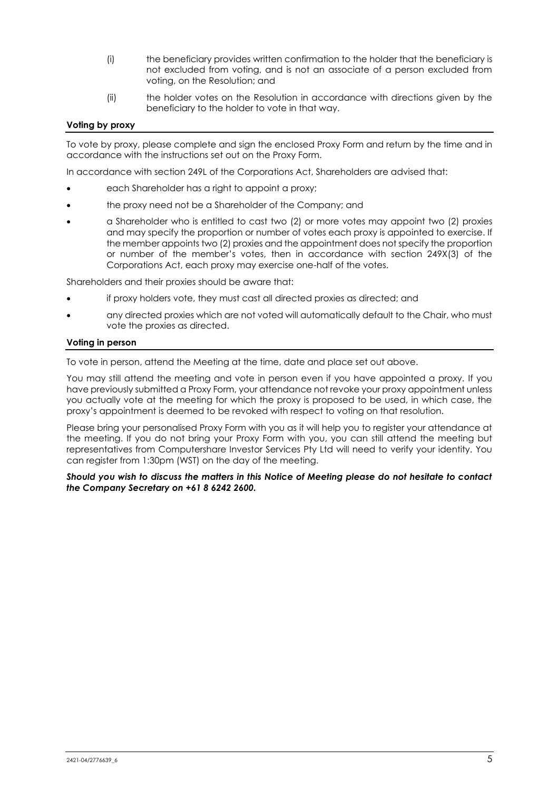- (i) the beneficiary provides written confirmation to the holder that the beneficiary is not excluded from voting, and is not an associate of a person excluded from voting, on the Resolution; and
- (ii) the holder votes on the Resolution in accordance with directions given by the beneficiary to the holder to vote in that way.

#### **Voting by proxy**

To vote by proxy, please complete and sign the enclosed Proxy Form and return by the time and in accordance with the instructions set out on the Proxy Form.

In accordance with section 249L of the Corporations Act, Shareholders are advised that:

- each Shareholder has a right to appoint a proxy;
- the proxy need not be a Shareholder of the Company; and
- a Shareholder who is entitled to cast two (2) or more votes may appoint two (2) proxies and may specify the proportion or number of votes each proxy is appointed to exercise. If the member appoints two (2) proxies and the appointment does not specify the proportion or number of the member's votes, then in accordance with section 249X(3) of the Corporations Act, each proxy may exercise one-half of the votes.

Shareholders and their proxies should be aware that:

- if proxy holders vote, they must cast all directed proxies as directed; and
- any directed proxies which are not voted will automatically default to the Chair, who must vote the proxies as directed.

#### **Voting in person**

To vote in person, attend the Meeting at the time, date and place set out above.

You may still attend the meeting and vote in person even if you have appointed a proxy. If you have previously submitted a Proxy Form, your attendance not revoke your proxy appointment unless you actually vote at the meeting for which the proxy is proposed to be used, in which case, the proxy's appointment is deemed to be revoked with respect to voting on that resolution.

Please bring your personalised Proxy Form with you as it will help you to register your attendance at the meeting. If you do not bring your Proxy Form with you, you can still attend the meeting but representatives from Computershare Investor Services Pty Ltd will need to verify your identity. You can register from 1:30pm (WST) on the day of the meeting.

#### *Should you wish to discuss the matters in this Notice of Meeting please do not hesitate to contact the Company Secretary on +61 8 6242 2600.*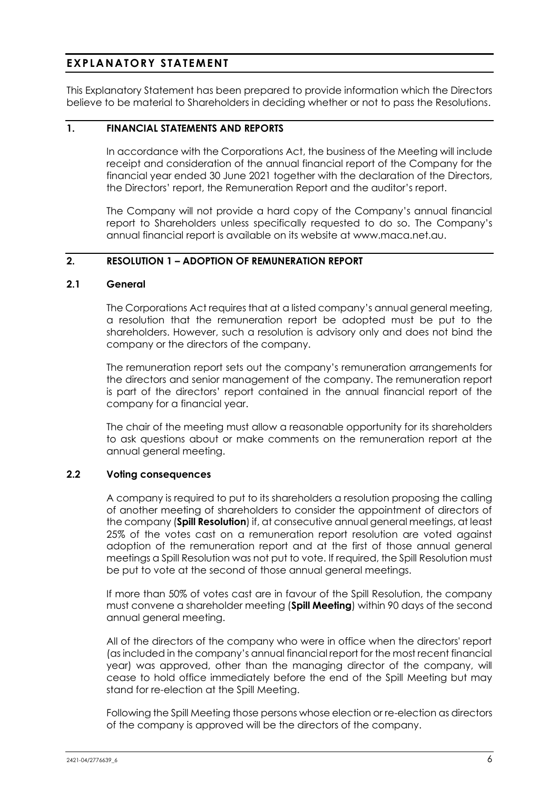# **EXPLANATORY STATEMENT**

This Explanatory Statement has been prepared to provide information which the Directors believe to be material to Shareholders in deciding whether or not to pass the Resolutions.

# **1. FINANCIAL STATEMENTS AND REPORTS**

In accordance with the Corporations Act, the business of the Meeting will include receipt and consideration of the annual financial report of the Company for the financial year ended 30 June 2021 together with the declaration of the Directors, the Directors' report, the Remuneration Report and the auditor's report.

The Company will not provide a hard copy of the Company's annual financial report to Shareholders unless specifically requested to do so. The Company's annual financial report is available on its website at www.maca.net.au.

#### **2. RESOLUTION 1 – ADOPTION OF REMUNERATION REPORT**

#### **2.1 General**

The Corporations Act requires that at a listed company's annual general meeting, a resolution that the remuneration report be adopted must be put to the shareholders. However, such a resolution is advisory only and does not bind the company or the directors of the company.

The remuneration report sets out the company's remuneration arrangements for the directors and senior management of the company. The remuneration report is part of the directors' report contained in the annual financial report of the company for a financial year.

The chair of the meeting must allow a reasonable opportunity for its shareholders to ask questions about or make comments on the remuneration report at the annual general meeting.

#### **2.2 Voting consequences**

A company is required to put to its shareholders a resolution proposing the calling of another meeting of shareholders to consider the appointment of directors of the company (**Spill Resolution**) if, at consecutive annual general meetings, at least 25% of the votes cast on a remuneration report resolution are voted against adoption of the remuneration report and at the first of those annual general meetings a Spill Resolution was not put to vote. If required, the Spill Resolution must be put to vote at the second of those annual general meetings.

If more than 50% of votes cast are in favour of the Spill Resolution, the company must convene a shareholder meeting (**Spill Meeting**) within 90 days of the second annual general meeting.

All of the directors of the company who were in office when the directors' report (as included in the company's annual financial report for the most recent financial year) was approved, other than the managing director of the company, will cease to hold office immediately before the end of the Spill Meeting but may stand for re-election at the Spill Meeting.

Following the Spill Meeting those persons whose election or re-election as directors of the company is approved will be the directors of the company.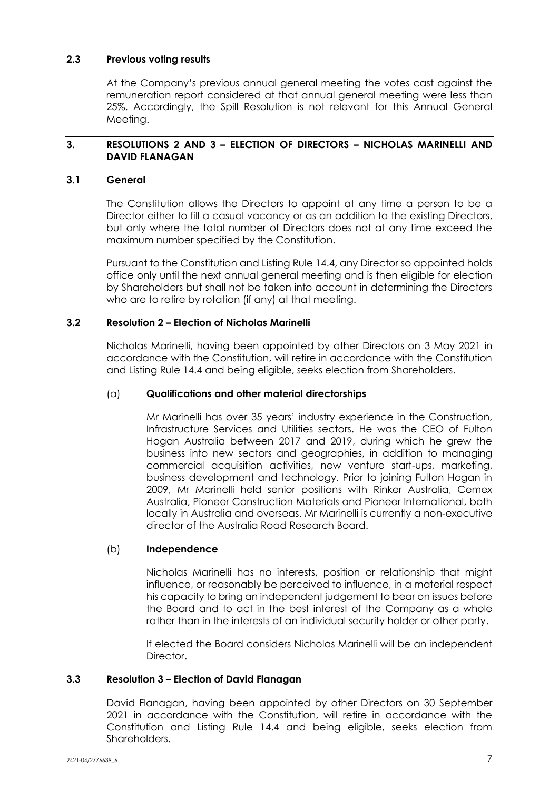#### **2.3 Previous voting results**

At the Company's previous annual general meeting the votes cast against the remuneration report considered at that annual general meeting were less than 25%. Accordingly, the Spill Resolution is not relevant for this Annual General Meeting.

# **3. RESOLUTIONS 2 AND 3 – ELECTION OF DIRECTORS – NICHOLAS MARINELLI AND DAVID FLANAGAN**

# **3.1 General**

The Constitution allows the Directors to appoint at any time a person to be a Director either to fill a casual vacancy or as an addition to the existing Directors, but only where the total number of Directors does not at any time exceed the maximum number specified by the Constitution.

Pursuant to the Constitution and Listing Rule 14.4, any Director so appointed holds office only until the next annual general meeting and is then eligible for election by Shareholders but shall not be taken into account in determining the Directors who are to retire by rotation (if any) at that meeting.

# **3.2 Resolution 2 – Election of Nicholas Marinelli**

Nicholas Marinelli, having been appointed by other Directors on 3 May 2021 in accordance with the Constitution, will retire in accordance with the Constitution and Listing Rule 14.4 and being eligible, seeks election from Shareholders.

# (a) **Qualifications and other material directorships**

Mr Marinelli has over 35 years' industry experience in the Construction, Infrastructure Services and Utilities sectors. He was the CEO of Fulton Hogan Australia between 2017 and 2019, during which he grew the business into new sectors and geographies, in addition to managing commercial acquisition activities, new venture start-ups, marketing, business development and technology. Prior to joining Fulton Hogan in 2009, Mr Marinelli held senior positions with Rinker Australia, Cemex Australia, Pioneer Construction Materials and Pioneer International, both locally in Australia and overseas. Mr Marinelli is currently a non-executive director of the Australia Road Research Board.

#### (b) **Independence**

Nicholas Marinelli has no interests, position or relationship that might influence, or reasonably be perceived to influence, in a material respect his capacity to bring an independent judgement to bear on issues before the Board and to act in the best interest of the Company as a whole rather than in the interests of an individual security holder or other party.

If elected the Board considers Nicholas Marinelli will be an independent **Director** 

#### **3.3 Resolution 3 – Election of David Flanagan**

David Flanagan, having been appointed by other Directors on 30 September 2021 in accordance with the Constitution, will retire in accordance with the Constitution and Listing Rule 14.4 and being eligible, seeks election from Shareholders.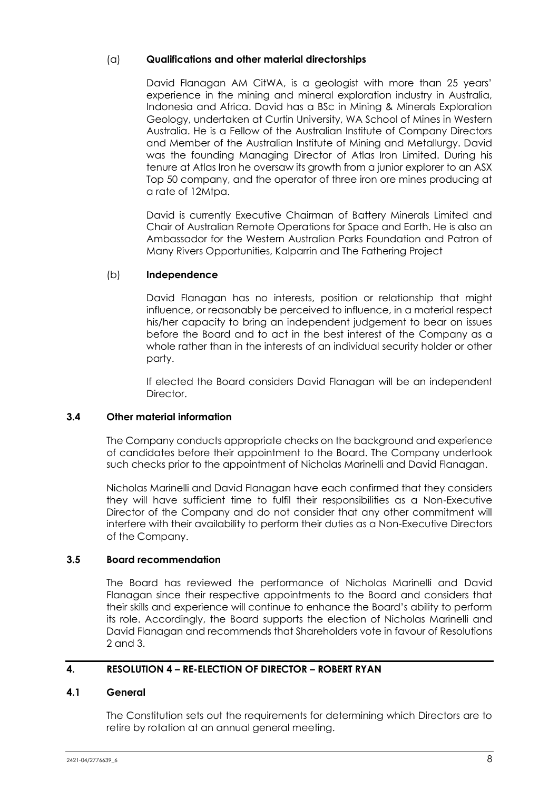# (a) **Qualifications and other material directorships**

David Flanagan AM CitWA, is a geologist with more than 25 years' experience in the mining and mineral exploration industry in Australia, Indonesia and Africa. David has a BSc in Mining & Minerals Exploration Geology, undertaken at Curtin University, WA School of Mines in Western Australia. He is a Fellow of the Australian Institute of Company Directors and Member of the Australian Institute of Mining and Metallurgy. David was the founding Managing Director of Atlas Iron Limited. During his tenure at Atlas Iron he oversaw its growth from a junior explorer to an ASX Top 50 company, and the operator of three iron ore mines producing at a rate of 12Mtpa.

David is currently Executive Chairman of Battery Minerals Limited and Chair of Australian Remote Operations for Space and Earth. He is also an Ambassador for the Western Australian Parks Foundation and Patron of Many Rivers Opportunities, Kalparrin and The Fathering Project

# (b) **Independence**

David Flanagan has no interests, position or relationship that might influence, or reasonably be perceived to influence, in a material respect his/her capacity to bring an independent judgement to bear on issues before the Board and to act in the best interest of the Company as a whole rather than in the interests of an individual security holder or other party.

If elected the Board considers David Flanagan will be an independent Director.

# **3.4 Other material information**

The Company conducts appropriate checks on the background and experience of candidates before their appointment to the Board. The Company undertook such checks prior to the appointment of Nicholas Marinelli and David Flanagan.

Nicholas Marinelli and David Flanagan have each confirmed that they considers they will have sufficient time to fulfil their responsibilities as a Non-Executive Director of the Company and do not consider that any other commitment will interfere with their availability to perform their duties as a Non-Executive Directors of the Company.

#### **3.5 Board recommendation**

The Board has reviewed the performance of Nicholas Marinelli and David Flanagan since their respective appointments to the Board and considers that their skills and experience will continue to enhance the Board's ability to perform its role. Accordingly, the Board supports the election of Nicholas Marinelli and David Flanagan and recommends that Shareholders vote in favour of Resolutions 2 and 3.

# **4. RESOLUTION 4 – RE-ELECTION OF DIRECTOR – ROBERT RYAN**

#### **4.1 General**

The Constitution sets out the requirements for determining which Directors are to retire by rotation at an annual general meeting.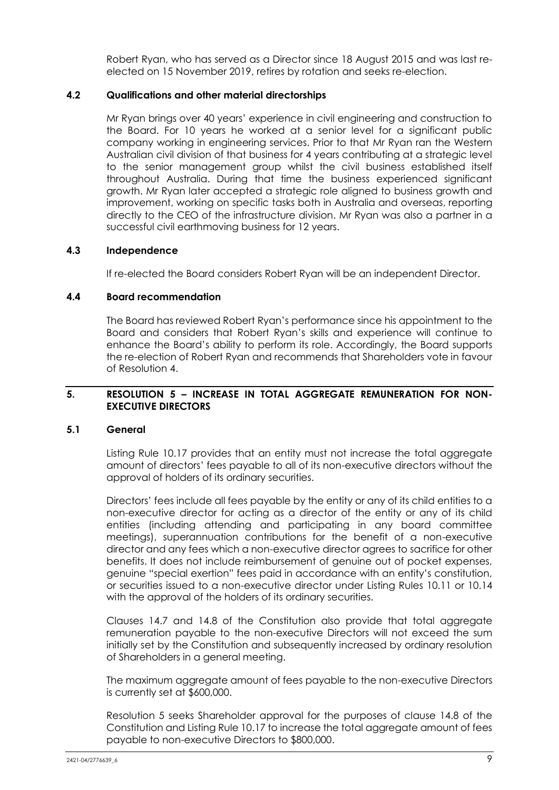Robert Ryan, who has served as a Director since 18 August 2015 and was last reelected on 15 November 2019, retires by rotation and seeks re-election.

#### **4.2 Qualifications and other material directorships**

Mr Ryan brings over 40 years' experience in civil engineering and construction to the Board. For 10 years he worked at a senior level for a significant public company working in engineering services. Prior to that Mr Ryan ran the Western Australian civil division of that business for 4 years contributing at a strategic level to the senior management group whilst the civil business established itself throughout Australia. During that time the business experienced significant growth. Mr Ryan later accepted a strategic role aligned to business growth and improvement, working on specific tasks both in Australia and overseas, reporting directly to the CEO of the infrastructure division. Mr Ryan was also a partner in a successful civil earthmoving business for 12 years.

#### **4.3 Independence**

If re-elected the Board considers Robert Ryan will be an independent Director.

#### **4.4 Board recommendation**

The Board has reviewed Robert Ryan's performance since his appointment to the Board and considers that Robert Ryan's skills and experience will continue to enhance the Board's ability to perform its role. Accordingly, the Board supports the re-election of Robert Ryan and recommends that Shareholders vote in favour of Resolution 4.

#### **5. RESOLUTION 5 – INCREASE IN TOTAL AGGREGATE REMUNERATION FOR NON-EXECUTIVE DIRECTORS**

#### **5.1 General**

Listing Rule 10.17 provides that an entity must not increase the total aggregate amount of directors' fees payable to all of its non-executive directors without the approval of holders of its ordinary securities.

Directors' fees include all fees payable by the entity or any of its child entities to a non-executive director for acting as a director of the entity or any of its child entities (including attending and participating in any board committee meetings), superannuation contributions for the benefit of a non-executive director and any fees which a non-executive director agrees to sacrifice for other benefits. It does not include reimbursement of genuine out of pocket expenses, genuine "special exertion" fees paid in accordance with an entity's constitution, or securities issued to a non-executive director under Listing Rules 10.11 or 10.14 with the approval of the holders of its ordinary securities.

Clauses 14.7 and 14.8 of the Constitution also provide that total aggregate remuneration payable to the non-executive Directors will not exceed the sum initially set by the Constitution and subsequently increased by ordinary resolution of Shareholders in a general meeting.

The maximum aggregate amount of fees payable to the non-executive Directors is currently set at \$600,000.

Resolution 5 seeks Shareholder approval for the purposes of clause 14.8 of the Constitution and Listing Rule 10.17 to increase the total aggregate amount of fees payable to non-executive Directors to \$800,000.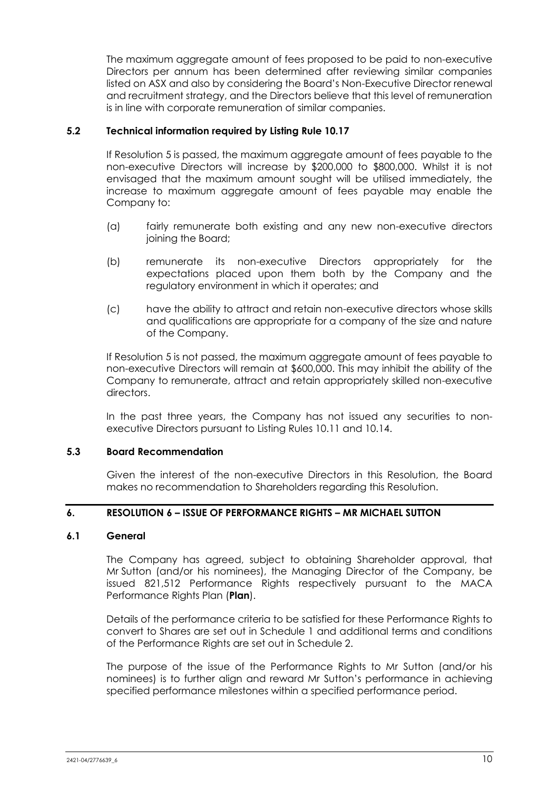The maximum aggregate amount of fees proposed to be paid to non-executive Directors per annum has been determined after reviewing similar companies listed on ASX and also by considering the Board's Non-Executive Director renewal and recruitment strategy, and the Directors believe that this level of remuneration is in line with corporate remuneration of similar companies.

#### **5.2 Technical information required by Listing Rule 10.17**

If Resolution 5 is passed, the maximum aggregate amount of fees payable to the non-executive Directors will increase by \$200,000 to \$800,000. Whilst it is not envisaged that the maximum amount sought will be utilised immediately, the increase to maximum aggregate amount of fees payable may enable the Company to:

- (a) fairly remunerate both existing and any new non-executive directors joining the Board;
- (b) remunerate its non-executive Directors appropriately for the expectations placed upon them both by the Company and the regulatory environment in which it operates; and
- (c) have the ability to attract and retain non-executive directors whose skills and qualifications are appropriate for a company of the size and nature of the Company.

If Resolution 5 is not passed, the maximum aggregate amount of fees payable to non-executive Directors will remain at \$600,000. This may inhibit the ability of the Company to remunerate, attract and retain appropriately skilled non-executive directors.

In the past three years, the Company has not issued any securities to nonexecutive Directors pursuant to Listing Rules 10.11 and 10.14.

#### **5.3 Board Recommendation**

Given the interest of the non-executive Directors in this Resolution, the Board makes no recommendation to Shareholders regarding this Resolution.

# **6. RESOLUTION 6 – ISSUE OF PERFORMANCE RIGHTS – MR MICHAEL SUTTON**

#### **6.1 General**

The Company has agreed, subject to obtaining Shareholder approval, that Mr Sutton (and/or his nominees), the Managing Director of the Company, be issued 821,512 Performance Rights respectively pursuant to the MACA Performance Rights Plan (**Plan**).

Details of the performance criteria to be satisfied for these Performance Rights to convert to Shares are set out in Schedule 1 and additional terms and conditions of the Performance Rights are set out in Schedule 2.

The purpose of the issue of the Performance Rights to Mr Sutton (and/or his nominees) is to further align and reward Mr Sutton's performance in achieving specified performance milestones within a specified performance period.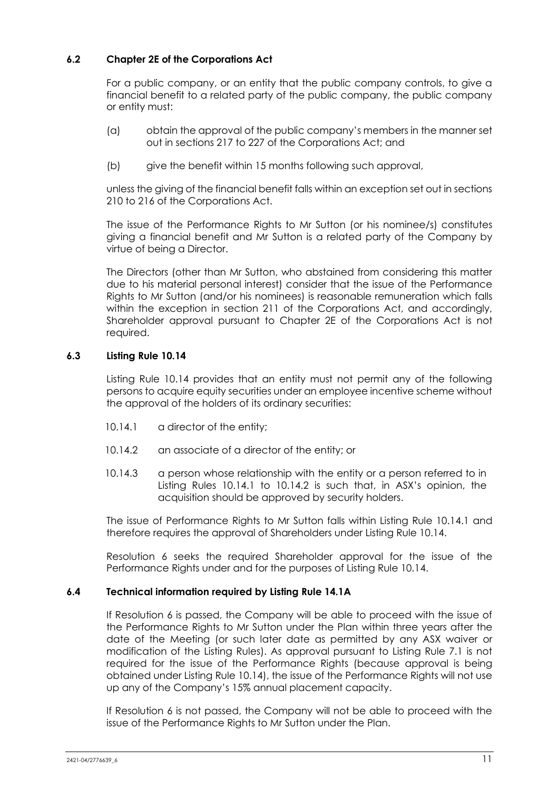# **6.2 Chapter 2E of the Corporations Act**

For a public company, or an entity that the public company controls, to give a financial benefit to a related party of the public company, the public company or entity must:

- (a) obtain the approval of the public company's members in the manner set out in sections 217 to 227 of the Corporations Act; and
- (b) give the benefit within 15 months following such approval,

unless the giving of the financial benefit falls within an exception set out in sections 210 to 216 of the Corporations Act.

The issue of the Performance Rights to Mr Sutton (or his nominee/s) constitutes giving a financial benefit and Mr Sutton is a related party of the Company by virtue of being a Director.

The Directors (other than Mr Sutton, who abstained from considering this matter due to his material personal interest) consider that the issue of the Performance Rights to Mr Sutton (and/or his nominees) is reasonable remuneration which falls within the exception in section 211 of the Corporations Act, and accordingly, Shareholder approval pursuant to Chapter 2E of the Corporations Act is not required.

# **6.3 Listing Rule 10.14**

Listing Rule 10.14 provides that an entity must not permit any of the following persons to acquire equity securities under an employee incentive scheme without the approval of the holders of its ordinary securities:

- 10.14.1 a director of the entity;
- 10.14.2 an associate of a director of the entity; or
- 10.14.3 a person whose relationship with the entity or a person referred to in Listing Rules 10.14.1 to 10.14.2 is such that, in ASX's opinion, the acquisition should be approved by security holders.

The issue of Performance Rights to Mr Sutton falls within Listing Rule 10.14.1 and therefore requires the approval of Shareholders under Listing Rule 10.14.

Resolution 6 seeks the required Shareholder approval for the issue of the Performance Rights under and for the purposes of Listing Rule 10.14.

#### **6.4 Technical information required by Listing Rule 14.1A**

If Resolution 6 is passed, the Company will be able to proceed with the issue of the Performance Rights to Mr Sutton under the Plan within three years after the date of the Meeting (or such later date as permitted by any ASX waiver or modification of the Listing Rules). As approval pursuant to Listing Rule 7.1 is not required for the issue of the Performance Rights (because approval is being obtained under Listing Rule 10.14), the issue of the Performance Rights will not use up any of the Company's 15% annual placement capacity.

If Resolution 6 is not passed, the Company will not be able to proceed with the issue of the Performance Rights to Mr Sutton under the Plan.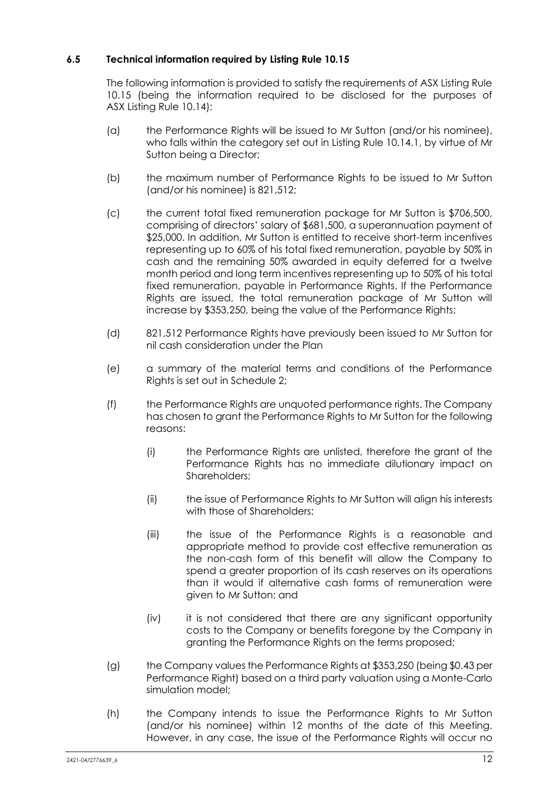# **6.5 Technical information required by Listing Rule 10.15**

The following information is provided to satisfy the requirements of ASX Listing Rule 10.15 (being the information required to be disclosed for the purposes of ASX Listing Rule 10.14):

- (a) the Performance Rights will be issued to Mr Sutton (and/or his nominee), who falls within the category set out in Listing Rule 10.14.1, by virtue of Mr Sutton being a Director;
- (b) the maximum number of Performance Rights to be issued to Mr Sutton (and/or his nominee) is 821,512;
- (c) the current total fixed remuneration package for Mr Sutton is \$706,500, comprising of directors' salary of \$681,500, a superannuation payment of \$25,000. In addition, Mr Sutton is entitled to receive short-term incentives representing up to 60% of his total fixed remuneration, payable by 50% in cash and the remaining 50% awarded in equity deferred for a twelve month period and long term incentives representing up to 50% of his total fixed remuneration, payable in Performance Rights. If the Performance Rights are issued, the total remuneration package of Mr Sutton will increase by \$353,250, being the value of the Performance Rights;
- (d) 821,512 Performance Rights have previously been issued to Mr Sutton for nil cash consideration under the Plan
- (e) a summary of the material terms and conditions of the Performance Rights is set out in Schedule 2;
- (f) the Performance Rights are unquoted performance rights. The Company has chosen to grant the Performance Rights to Mr Sutton for the following reasons:
	- (i) the Performance Rights are unlisted, therefore the grant of the Performance Rights has no immediate dilutionary impact on Shareholders;
	- (ii) the issue of Performance Rights to Mr Sutton will align his interests with those of Shareholders;
	- (iii) the issue of the Performance Rights is a reasonable and appropriate method to provide cost effective remuneration as the non-cash form of this benefit will allow the Company to spend a greater proportion of its cash reserves on its operations than it would if alternative cash forms of remuneration were given to Mr Sutton; and
	- (iv) it is not considered that there are any significant opportunity costs to the Company or benefits foregone by the Company in granting the Performance Rights on the terms proposed;
- (g) the Company values the Performance Rights at \$353,250 (being \$0.43 per Performance Right) based on a third party valuation using a Monte-Carlo simulation model;
- (h) the Company intends to issue the Performance Rights to Mr Sutton (and/or his nominee) within 12 months of the date of this Meeting. However, in any case, the issue of the Performance Rights will occur no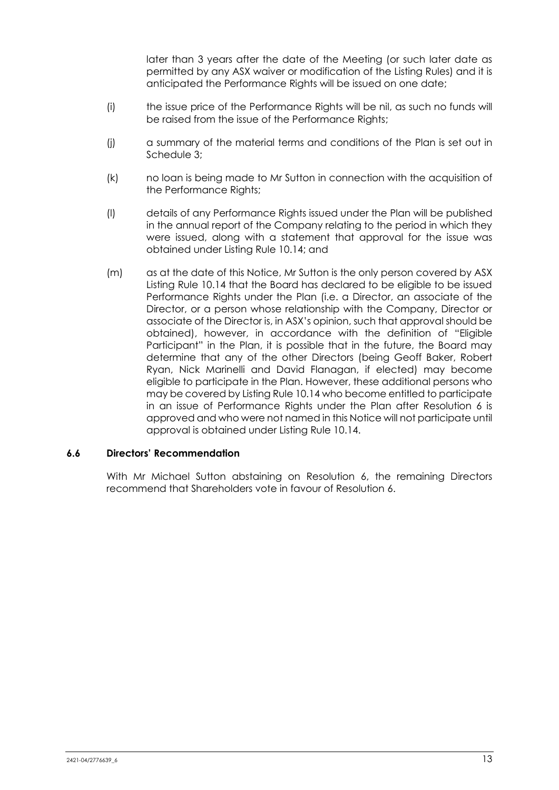later than 3 years after the date of the Meeting (or such later date as permitted by any ASX waiver or modification of the Listing Rules) and it is anticipated the Performance Rights will be issued on one date;

- (i) the issue price of the Performance Rights will be nil, as such no funds will be raised from the issue of the Performance Rights;
- (j) a summary of the material terms and conditions of the Plan is set out in Schedule 3;
- (k) no loan is being made to Mr Sutton in connection with the acquisition of the Performance Rights;
- (l) details of any Performance Rights issued under the Plan will be published in the annual report of the Company relating to the period in which they were issued, along with a statement that approval for the issue was obtained under Listing Rule 10.14; and
- (m) as at the date of this Notice, Mr Sutton is the only person covered by ASX Listing Rule 10.14 that the Board has declared to be eligible to be issued Performance Rights under the Plan (i.e. a Director, an associate of the Director, or a person whose relationship with the Company, Director or associate of the Director is, in ASX's opinion, such that approval should be obtained), however, in accordance with the definition of "Eligible Participant" in the Plan, it is possible that in the future, the Board may determine that any of the other Directors (being Geoff Baker, Robert Ryan, Nick Marinelli and David Flanagan, if elected) may become eligible to participate in the Plan. However, these additional persons who may be covered by Listing Rule 10.14 who become entitled to participate in an issue of Performance Rights under the Plan after Resolution 6 is approved and who were not named in this Notice will not participate until approval is obtained under Listing Rule 10.14.

#### **6.6 Directors' Recommendation**

With Mr Michael Sutton abstaining on Resolution 6, the remaining Directors recommend that Shareholders vote in favour of Resolution 6.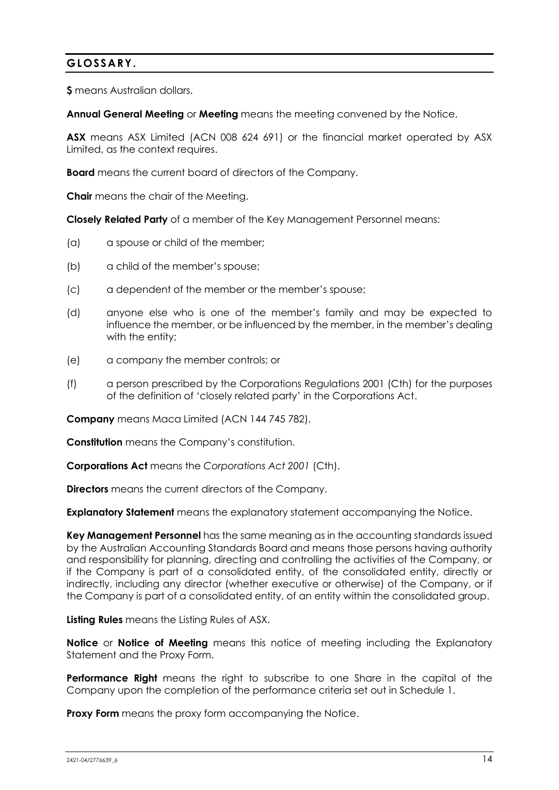# **GLOSSARY.**

**\$** means Australian dollars.

**Annual General Meeting** or **Meeting** means the meeting convened by the Notice.

**ASX** means ASX Limited (ACN 008 624 691) or the financial market operated by ASX Limited, as the context requires.

**Board** means the current board of directors of the Company.

**Chair** means the chair of the Meeting.

**Closely Related Party** of a member of the Key Management Personnel means:

- (a) a spouse or child of the member;
- (b) a child of the member's spouse;
- (c) a dependent of the member or the member's spouse;
- (d) anyone else who is one of the member's family and may be expected to influence the member, or be influenced by the member, in the member's dealing with the entity;
- (e) a company the member controls; or
- (f) a person prescribed by the Corporations Regulations 2001 (Cth) for the purposes of the definition of 'closely related party' in the Corporations Act.

**Company** means Maca Limited (ACN 144 745 782).

**Constitution** means the Company's constitution.

**Corporations Act** means the *Corporations Act 2001* (Cth).

**Directors** means the current directors of the Company.

**Explanatory Statement** means the explanatory statement accompanying the Notice.

**Key Management Personnel** has the same meaning as in the accounting standards issued by the Australian Accounting Standards Board and means those persons having authority and responsibility for planning, directing and controlling the activities of the Company, or if the Company is part of a consolidated entity, of the consolidated entity, directly or indirectly, including any director (whether executive or otherwise) of the Company, or if the Company is part of a consolidated entity, of an entity within the consolidated group.

**Listing Rules** means the Listing Rules of ASX.

**Notice** or **Notice of Meeting** means this notice of meeting including the Explanatory Statement and the Proxy Form.

**Performance Right** means the right to subscribe to one Share in the capital of the Company upon the completion of the performance criteria set out in Schedule 1.

**Proxy Form** means the proxy form accompanying the Notice.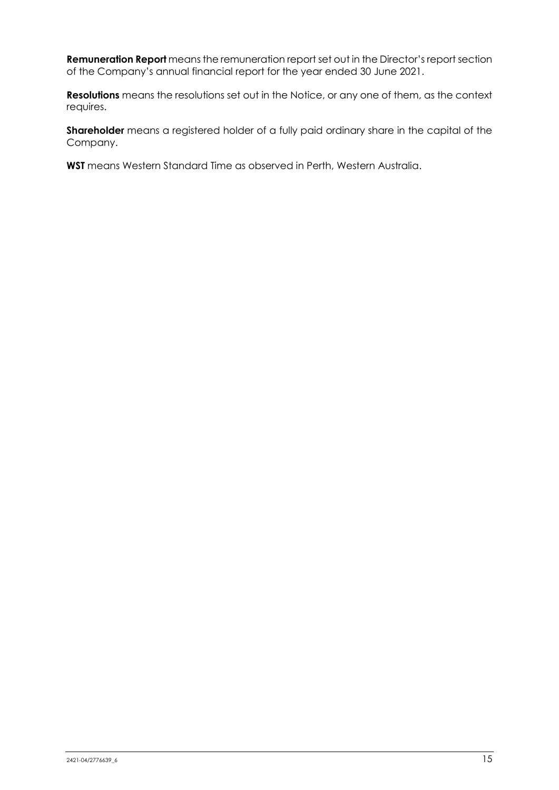**Remuneration Report** means the remuneration report set out in the Director's report section of the Company's annual financial report for the year ended 30 June 2021.

**Resolutions** means the resolutions set out in the Notice, or any one of them, as the context requires.

**Shareholder** means a registered holder of a fully paid ordinary share in the capital of the Company.

**WST** means Western Standard Time as observed in Perth, Western Australia.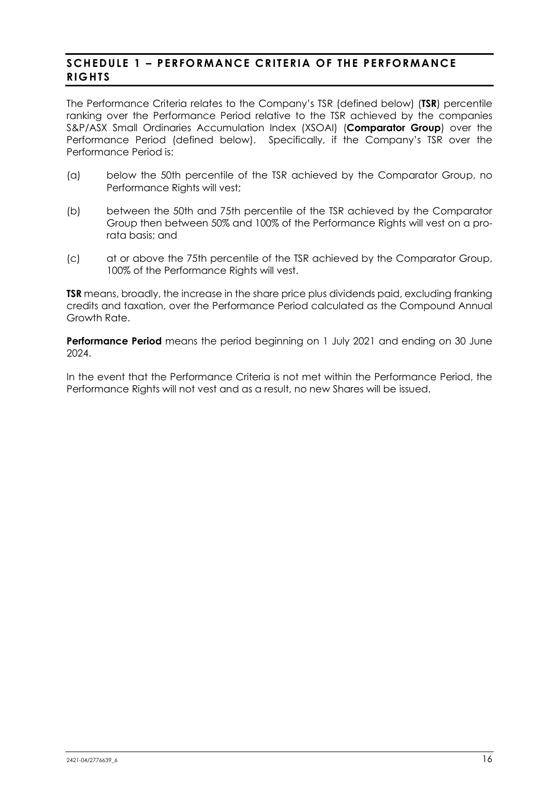# **SCHEDULE 1 – PERFORMANCE CRITERIA OF THE PERFORMANCE RIGHTS**

The Performance Criteria relates to the Company's TSR (defined below) (**TSR**) percentile ranking over the Performance Period relative to the TSR achieved by the companies S&P/ASX Small Ordinaries Accumulation Index (XSOAI) (**Comparator Group**) over the Performance Period (defined below). Specifically, if the Company's TSR over the Performance Period is:

- (a) below the 50th percentile of the TSR achieved by the Comparator Group, no Performance Rights will vest;
- (b) between the 50th and 75th percentile of the TSR achieved by the Comparator Group then between 50% and 100% of the Performance Rights will vest on a prorata basis; and
- (c) at or above the 75th percentile of the TSR achieved by the Comparator Group, 100% of the Performance Rights will vest.

**TSR** means, broadly, the increase in the share price plus dividends paid, excluding franking credits and taxation, over the Performance Period calculated as the Compound Annual Growth Rate.

**Performance Period** means the period beginning on 1 July 2021 and ending on 30 June 2024.

In the event that the Performance Criteria is not met within the Performance Period, the Performance Rights will not vest and as a result, no new Shares will be issued.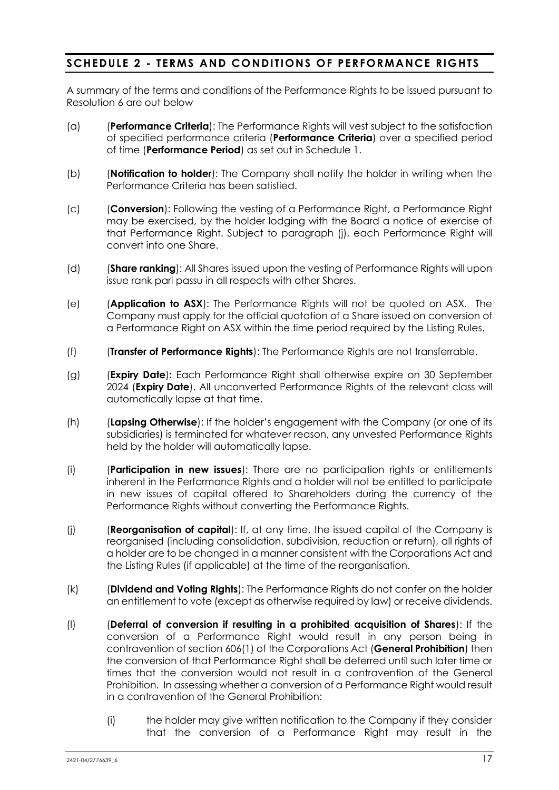# **SCHEDULE 2 - TERMS AND CONDITIONS OF PERFORMANCE RIGHTS**

A summary of the terms and conditions of the Performance Rights to be issued pursuant to Resolution 6 are out below

- (a) (**Performance Criteria**): The Performance Rights will vest subject to the satisfaction of specified performance criteria (**Performance Criteria**) over a specified period of time (**Performance Period**) as set out in Schedule 1.
- (b) (**Notification to holder**): The Company shall notify the holder in writing when the Performance Criteria has been satisfied.
- (c) (**Conversion**): Following the vesting of a Performance Right, a Performance Right may be exercised, by the holder lodging with the Board a notice of exercise of that Performance Right. Subject to paragraph (j), each Performance Right will convert into one Share.
- (d) (**Share ranking**): All Shares issued upon the vesting of Performance Rights will upon issue rank pari passu in all respects with other Shares.
- (e) (**Application to ASX**): The Performance Rights will not be quoted on ASX. The Company must apply for the official quotation of a Share issued on conversion of a Performance Right on ASX within the time period required by the Listing Rules.
- (f) (**Transfer of Performance Rights**): The Performance Rights are not transferrable.
- (g) (**Expiry Date**)**:** Each Performance Right shall otherwise expire on 30 September 2024 (**Expiry Date**). All unconverted Performance Rights of the relevant class will automatically lapse at that time.
- (h) (**Lapsing Otherwise**): If the holder's engagement with the Company (or one of its subsidiaries) is terminated for whatever reason, any unvested Performance Rights held by the holder will automatically lapse.
- (i) (**Participation in new issues**): There are no participation rights or entitlements inherent in the Performance Rights and a holder will not be entitled to participate in new issues of capital offered to Shareholders during the currency of the Performance Rights without converting the Performance Rights.
- (j) (**Reorganisation of capital**): If, at any time, the issued capital of the Company is reorganised (including consolidation, subdivision, reduction or return), all rights of a holder are to be changed in a manner consistent with the Corporations Act and the Listing Rules (if applicable) at the time of the reorganisation.
- (k) (**Dividend and Voting Rights**): The Performance Rights do not confer on the holder an entitlement to vote (except as otherwise required by law) or receive dividends.
- (l) (**Deferral of conversion if resulting in a prohibited acquisition of Shares**): If the conversion of a Performance Right would result in any person being in contravention of section 606(1) of the Corporations Act (**General Prohibition**) then the conversion of that Performance Right shall be deferred until such later time or times that the conversion would not result in a contravention of the General Prohibition. In assessing whether a conversion of a Performance Right would result in a contravention of the General Prohibition:
	- (i) the holder may give written notification to the Company if they consider that the conversion of a Performance Right may result in the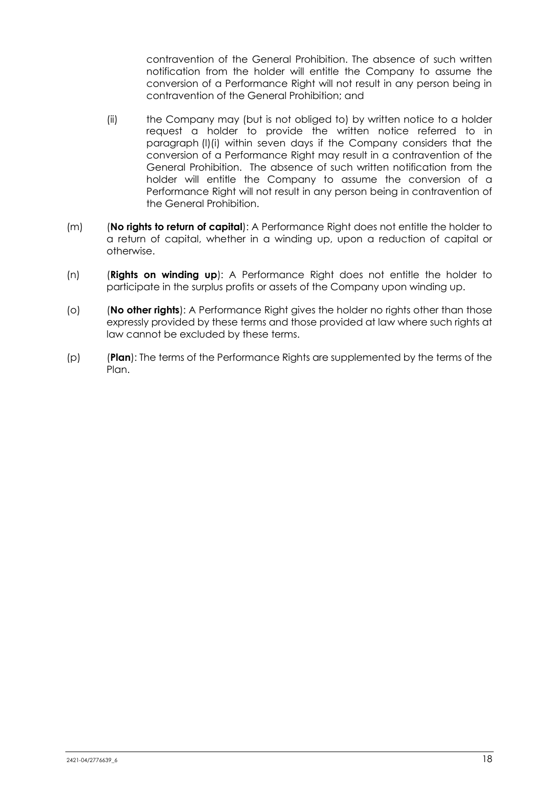contravention of the General Prohibition. The absence of such written notification from the holder will entitle the Company to assume the conversion of a Performance Right will not result in any person being in contravention of the General Prohibition; and

- (ii) the Company may (but is not obliged to) by written notice to a holder request a holder to provide the written notice referred to in paragraph (l)(i) within seven days if the Company considers that the conversion of a Performance Right may result in a contravention of the General Prohibition. The absence of such written notification from the holder will entitle the Company to assume the conversion of a Performance Right will not result in any person being in contravention of the General Prohibition.
- (m) (**No rights to return of capital**): A Performance Right does not entitle the holder to a return of capital, whether in a winding up, upon a reduction of capital or otherwise.
- (n) (**Rights on winding up**): A Performance Right does not entitle the holder to participate in the surplus profits or assets of the Company upon winding up.
- (o) (**No other rights**): A Performance Right gives the holder no rights other than those expressly provided by these terms and those provided at law where such rights at law cannot be excluded by these terms.
- (p) (**Plan**): The terms of the Performance Rights are supplemented by the terms of the Plan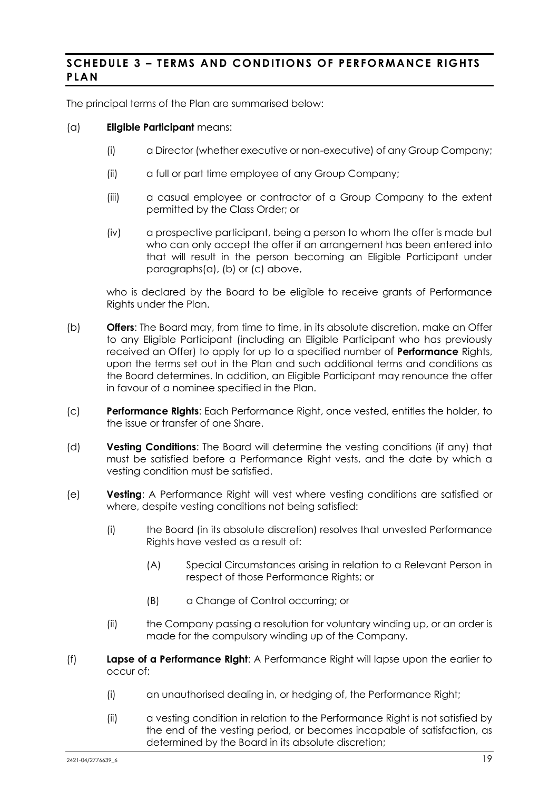# **SCHEDULE 3 – TERMS AND CONDITIONS OF PERFORMANCE RIGHTS PLAN**

The principal terms of the Plan are summarised below:

#### (a) **Eligible Participant** means:

- (i) a Director (whether executive or non-executive) of any Group Company;
- (ii) a full or part time employee of any Group Company;
- (iii) a casual employee or contractor of a Group Company to the extent permitted by the Class Order; or
- (iv) a prospective participant, being a person to whom the offer is made but who can only accept the offer if an arrangement has been entered into that will result in the person becoming an Eligible Participant under paragraphs(a), (b) or (c) above,

who is declared by the Board to be eligible to receive grants of Performance Rights under the Plan.

- (b) **Offers**: The Board may, from time to time, in its absolute discretion, make an Offer to any Eligible Participant (including an Eligible Participant who has previously received an Offer) to apply for up to a specified number of **Performance** Rights, upon the terms set out in the Plan and such additional terms and conditions as the Board determines. In addition, an Eligible Participant may renounce the offer in favour of a nominee specified in the Plan.
- (c) **Performance Rights**: Each Performance Right, once vested, entitles the holder, to the issue or transfer of one Share.
- (d) **Vesting Conditions**: The Board will determine the vesting conditions (if any) that must be satisfied before a Performance Right vests, and the date by which a vesting condition must be satisfied.
- (e) **Vesting**: A Performance Right will vest where vesting conditions are satisfied or where, despite vesting conditions not being satisfied:
	- (i) the Board (in its absolute discretion) resolves that unvested Performance Rights have vested as a result of:
		- (A) Special Circumstances arising in relation to a Relevant Person in respect of those Performance Rights; or
		- (B) a Change of Control occurring; or
	- (ii) the Company passing a resolution for voluntary winding up, or an order is made for the compulsory winding up of the Company.
- (f) **Lapse of a Performance Right**: A Performance Right will lapse upon the earlier to occur of:
	- (i) an unauthorised dealing in, or hedging of, the Performance Right;
	- (ii) a vesting condition in relation to the Performance Right is not satisfied by the end of the vesting period, or becomes incapable of satisfaction, as determined by the Board in its absolute discretion;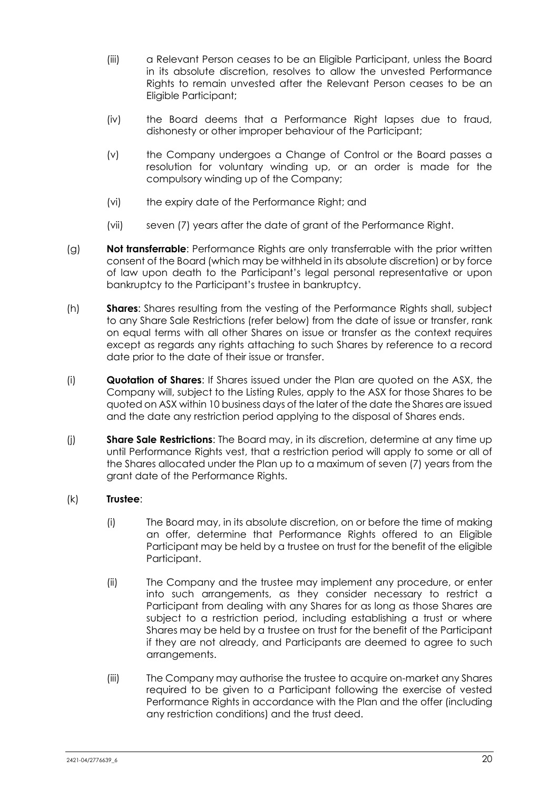- (iii) a Relevant Person ceases to be an Eligible Participant, unless the Board in its absolute discretion, resolves to allow the unvested Performance Rights to remain unvested after the Relevant Person ceases to be an Eligible Participant;
- (iv) the Board deems that a Performance Right lapses due to fraud, dishonesty or other improper behaviour of the Participant;
- (v) the Company undergoes a Change of Control or the Board passes a resolution for voluntary winding up, or an order is made for the compulsory winding up of the Company;
- (vi) the expiry date of the Performance Right; and
- (vii) seven (7) years after the date of grant of the Performance Right.
- (g) **Not transferrable**: Performance Rights are only transferrable with the prior written consent of the Board (which may be withheld in its absolute discretion) or by force of law upon death to the Participant's legal personal representative or upon bankruptcy to the Participant's trustee in bankruptcy.
- (h) **Shares**: Shares resulting from the vesting of the Performance Rights shall, subject to any Share Sale Restrictions (refer below) from the date of issue or transfer, rank on equal terms with all other Shares on issue or transfer as the context requires except as regards any rights attaching to such Shares by reference to a record date prior to the date of their issue or transfer.
- (i) **Quotation of Shares**: If Shares issued under the Plan are quoted on the ASX, the Company will, subject to the Listing Rules, apply to the ASX for those Shares to be quoted on ASX within 10 business days of the later of the date the Shares are issued and the date any restriction period applying to the disposal of Shares ends.
- (j) **Share Sale Restrictions**: The Board may, in its discretion, determine at any time up until Performance Rights vest, that a restriction period will apply to some or all of the Shares allocated under the Plan up to a maximum of seven (7) years from the grant date of the Performance Rights.

# (k) **Trustee**:

- (i) The Board may, in its absolute discretion, on or before the time of making an offer, determine that Performance Rights offered to an Eligible Participant may be held by a trustee on trust for the benefit of the eligible Participant.
- (ii) The Company and the trustee may implement any procedure, or enter into such arrangements, as they consider necessary to restrict a Participant from dealing with any Shares for as long as those Shares are subject to a restriction period, including establishing a trust or where Shares may be held by a trustee on trust for the benefit of the Participant if they are not already, and Participants are deemed to agree to such arrangements.
- (iii) The Company may authorise the trustee to acquire on-market any Shares required to be given to a Participant following the exercise of vested Performance Rights in accordance with the Plan and the offer (including any restriction conditions) and the trust deed.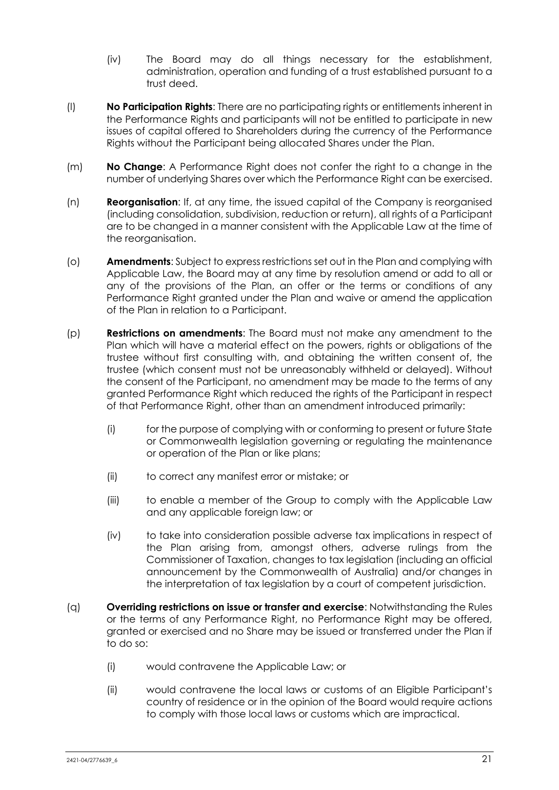- (iv) The Board may do all things necessary for the establishment, administration, operation and funding of a trust established pursuant to a trust deed.
- (l) **No Participation Rights**: There are no participating rights or entitlements inherent in the Performance Rights and participants will not be entitled to participate in new issues of capital offered to Shareholders during the currency of the Performance Rights without the Participant being allocated Shares under the Plan.
- (m) **No Change**: A Performance Right does not confer the right to a change in the number of underlying Shares over which the Performance Right can be exercised.
- (n) **Reorganisation**: If, at any time, the issued capital of the Company is reorganised (including consolidation, subdivision, reduction or return), all rights of a Participant are to be changed in a manner consistent with the Applicable Law at the time of the reorganisation.
- (o) **Amendments**: Subject to express restrictions set out in the Plan and complying with Applicable Law, the Board may at any time by resolution amend or add to all or any of the provisions of the Plan, an offer or the terms or conditions of any Performance Right granted under the Plan and waive or amend the application of the Plan in relation to a Participant.
- (p) **Restrictions on amendments**: The Board must not make any amendment to the Plan which will have a material effect on the powers, rights or obligations of the trustee without first consulting with, and obtaining the written consent of, the trustee (which consent must not be unreasonably withheld or delayed). Without the consent of the Participant, no amendment may be made to the terms of any granted Performance Right which reduced the rights of the Participant in respect of that Performance Right, other than an amendment introduced primarily:
	- (i) for the purpose of complying with or conforming to present or future State or Commonwealth legislation governing or regulating the maintenance or operation of the Plan or like plans;
	- (ii) to correct any manifest error or mistake; or
	- (iii) to enable a member of the Group to comply with the Applicable Law and any applicable foreign law; or
	- (iv) to take into consideration possible adverse tax implications in respect of the Plan arising from, amongst others, adverse rulings from the Commissioner of Taxation, changes to tax legislation (including an official announcement by the Commonwealth of Australia) and/or changes in the interpretation of tax legislation by a court of competent jurisdiction.
- (q) **Overriding restrictions on issue or transfer and exercise**: Notwithstanding the Rules or the terms of any Performance Right, no Performance Right may be offered, granted or exercised and no Share may be issued or transferred under the Plan if to do so:
	- (i) would contravene the Applicable Law; or
	- (ii) would contravene the local laws or customs of an Eligible Participant's country of residence or in the opinion of the Board would require actions to comply with those local laws or customs which are impractical.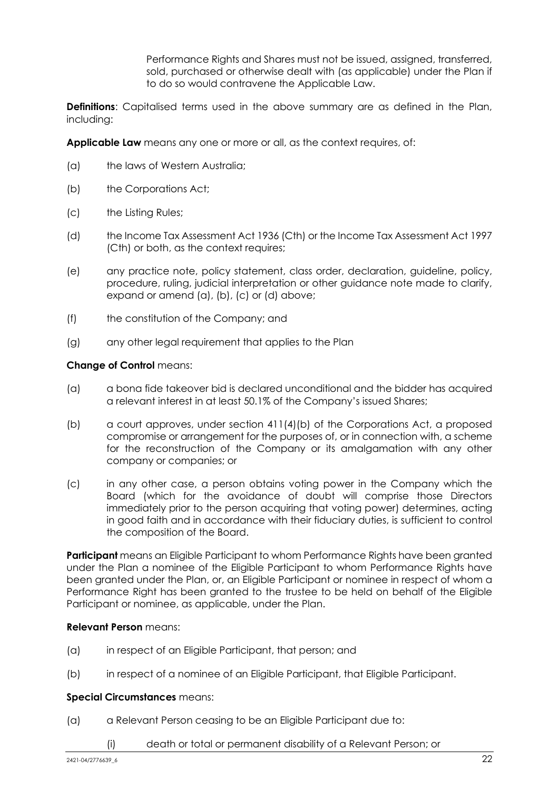Performance Rights and Shares must not be issued, assigned, transferred, sold, purchased or otherwise dealt with (as applicable) under the Plan if to do so would contravene the Applicable Law.

**Definitions**: Capitalised terms used in the above summary are as defined in the Plan, including:

**Applicable Law** means any one or more or all, as the context requires, of:

- (a) the laws of Western Australia;
- (b) the Corporations Act;
- (c) the Listing Rules;
- (d) the Income Tax Assessment Act 1936 (Cth) or the Income Tax Assessment Act 1997 (Cth) or both, as the context requires;
- (e) any practice note, policy statement, class order, declaration, guideline, policy, procedure, ruling, judicial interpretation or other guidance note made to clarify, expand or amend (a), (b), (c) or (d) above;
- (f) the constitution of the Company; and
- (g) any other legal requirement that applies to the Plan

#### **Change of Control** means:

- (a) a bona fide takeover bid is declared unconditional and the bidder has acquired a relevant interest in at least 50.1% of the Company's issued Shares;
- (b) a court approves, under section 411(4)(b) of the Corporations Act, a proposed compromise or arrangement for the purposes of, or in connection with, a scheme for the reconstruction of the Company or its amalgamation with any other company or companies; or
- (c) in any other case, a person obtains voting power in the Company which the Board (which for the avoidance of doubt will comprise those Directors immediately prior to the person acquiring that voting power) determines, acting in good faith and in accordance with their fiduciary duties, is sufficient to control the composition of the Board.

**Participant** means an Eligible Participant to whom Performance Rights have been granted under the Plan a nominee of the Eligible Participant to whom Performance Rights have been granted under the Plan, or, an Eligible Participant or nominee in respect of whom a Performance Right has been granted to the trustee to be held on behalf of the Eligible Participant or nominee, as applicable, under the Plan.

#### **Relevant Person** means:

- (a) in respect of an Eligible Participant, that person; and
- (b) in respect of a nominee of an Eligible Participant, that Eligible Participant.

#### **Special Circumstances** means:

- (a) a Relevant Person ceasing to be an Eligible Participant due to:
	- (i) death or total or permanent disability of a Relevant Person; or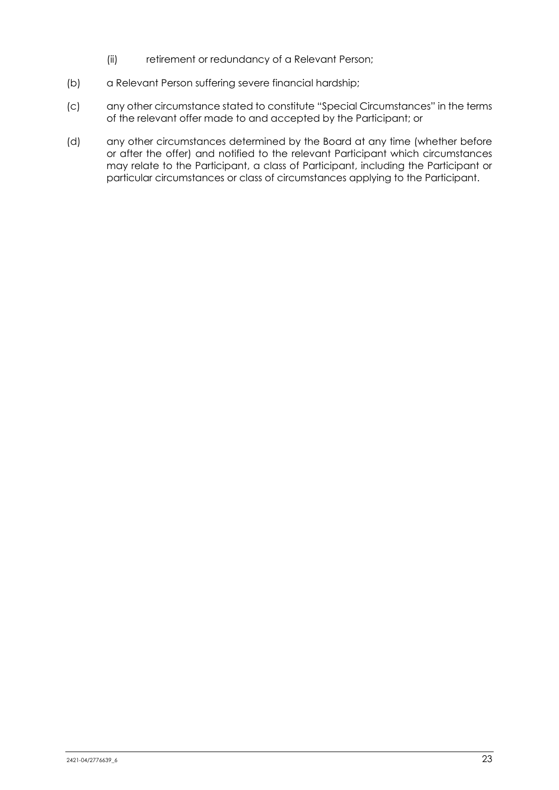- (ii) retirement or redundancy of a Relevant Person;
- (b) a Relevant Person suffering severe financial hardship;
- (c) any other circumstance stated to constitute "Special Circumstances" in the terms of the relevant offer made to and accepted by the Participant; or
- (d) any other circumstances determined by the Board at any time (whether before or after the offer) and notified to the relevant Participant which circumstances may relate to the Participant, a class of Participant, including the Participant or particular circumstances or class of circumstances applying to the Participant.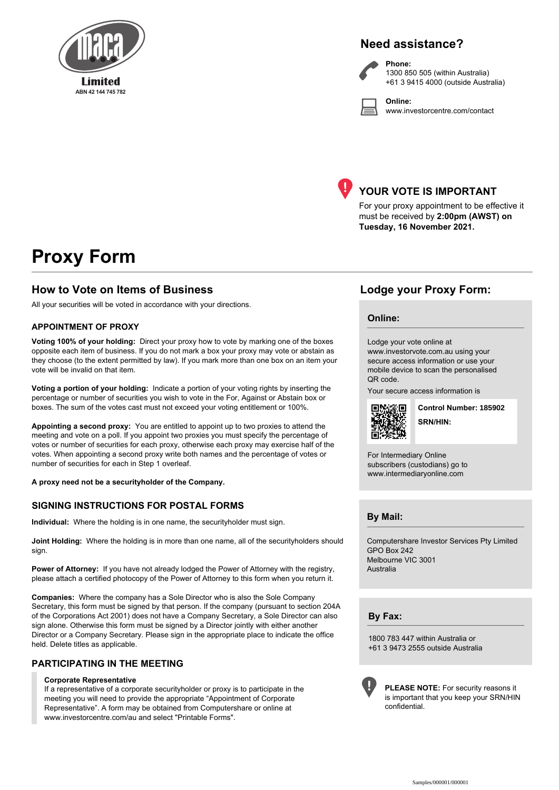

# **Need assistance?**

**Online:**



**Phone:** 1300 850 505 (within Australia) +61 3 9415 4000 (outside Australia)

www.investorcentre.com/contact



# **YOUR VOTE IS IMPORTANT**

For your proxy appointment to be effective it must be received by **2:00pm (AWST) on Tuesday, 16 November 2021.**

# **Proxy Form**

# **How to Vote on Items of Business Lodge your Proxy Form:**

All your securities will be voted in accordance with your directions.

#### **APPOINTMENT OF PROXY**

**Voting 100% of your holding:** Direct your proxy how to vote by marking one of the boxes opposite each item of business. If you do not mark a box your proxy may vote or abstain as they choose (to the extent permitted by law). If you mark more than one box on an item your vote will be invalid on that item.

**Voting a portion of your holding:** Indicate a portion of your voting rights by inserting the percentage or number of securities you wish to vote in the For, Against or Abstain box or boxes. The sum of the votes cast must not exceed your voting entitlement or 100%.

**Appointing a second proxy:** You are entitled to appoint up to two proxies to attend the meeting and vote on a poll. If you appoint two proxies you must specify the percentage of votes or number of securities for each proxy, otherwise each proxy may exercise half of the votes. When appointing a second proxy write both names and the percentage of votes or number of securities for each in Step 1 overleaf.

**A proxy need not be a securityholder of the Company.**

#### **SIGNING INSTRUCTIONS FOR POSTAL FORMS**

**Individual:** Where the holding is in one name, the securityholder must sign.

**Joint Holding:** Where the holding is in more than one name, all of the securityholders should sign.

**Power of Attorney:** If you have not already lodged the Power of Attorney with the registry, please attach a certified photocopy of the Power of Attorney to this form when you return it.

**Companies:** Where the company has a Sole Director who is also the Sole Company Secretary, this form must be signed by that person. If the company (pursuant to section 204A of the Corporations Act 2001) does not have a Company Secretary, a Sole Director can also sign alone. Otherwise this form must be signed by a Director jointly with either another Director or a Company Secretary. Please sign in the appropriate place to indicate the office held. Delete titles as applicable.

#### **PARTICIPATING IN THE MEETING**

#### **Corporate Representative**

If a representative of a corporate securityholder or proxy is to participate in the meeting you will need to provide the appropriate "Appointment of Corporate Representative". A form may be obtained from Computershare or online at www.investorcentre.com/au and select "Printable Forms".

#### **Online:**

Lodge your vote online at

www.investorvote.com.au using your secure access information or use your mobile device to scan the personalised QR code.

Your secure access information is



**SRN/HIN: Control Number: 185902**

For Intermediary Online subscribers (custodians) go to www.intermediaryonline.com

**By Mail:**

Computershare Investor Services Pty Limited GPO Box 242 Melbourne VIC 3001 Australia

**By Fax:**

1800 783 447 within Australia or +61 3 9473 2555 outside Australia



**PLEASE NOTE:** For security reasons it is important that you keep your SRN/HIN confidential.